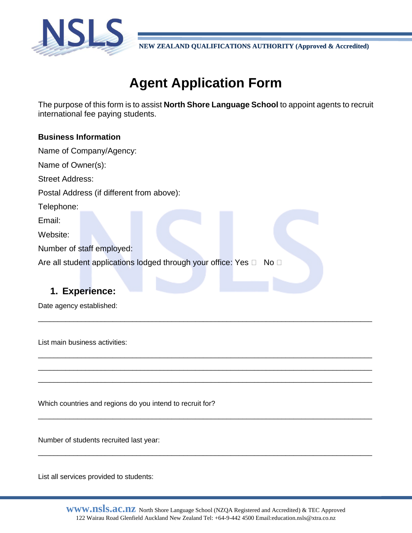

**NEW ZEALAND QUALIFICATIONS AUTHORITY (Approved & Accredited)**

## **Agent Application Form**

The purpose of this form is to assist **North Shore Language School** to appoint agents to recruit international fee paying students.

## **Business Information**

| Name of Company/Agency:                                             |  |  |  |  |  |  |  |
|---------------------------------------------------------------------|--|--|--|--|--|--|--|
| Name of Owner(s):                                                   |  |  |  |  |  |  |  |
| <b>Street Address:</b>                                              |  |  |  |  |  |  |  |
| Postal Address (if different from above):                           |  |  |  |  |  |  |  |
| Telephone:                                                          |  |  |  |  |  |  |  |
| Email:                                                              |  |  |  |  |  |  |  |
| Website:                                                            |  |  |  |  |  |  |  |
| Number of staff employed:                                           |  |  |  |  |  |  |  |
| Are all student applications lodged through your office: Yes □ No □ |  |  |  |  |  |  |  |
|                                                                     |  |  |  |  |  |  |  |

## **1. Experience:**

Date agency established:

List main business activities:

Which countries and regions do you intend to recruit for?

Number of students recruited last year:

List all services provided to students:

 $\_$  ,  $\_$  ,  $\_$  ,  $\_$  ,  $\_$  ,  $\_$  ,  $\_$  ,  $\_$  ,  $\_$  ,  $\_$  ,  $\_$  ,  $\_$  ,  $\_$  ,  $\_$  ,  $\_$  ,  $\_$  ,  $\_$  ,  $\_$  ,  $\_$  ,  $\_$  ,  $\_$  ,  $\_$  ,  $\_$  ,  $\_$  ,  $\_$  ,  $\_$  ,  $\_$  ,  $\_$  ,  $\_$  ,  $\_$  ,  $\_$  ,  $\_$  ,  $\_$  ,  $\_$  ,  $\_$  ,  $\_$  ,  $\_$  ,

 $\_$  ,  $\_$  ,  $\_$  ,  $\_$  ,  $\_$  ,  $\_$  ,  $\_$  ,  $\_$  ,  $\_$  ,  $\_$  ,  $\_$  ,  $\_$  ,  $\_$  ,  $\_$  ,  $\_$  ,  $\_$  ,  $\_$  ,  $\_$  ,  $\_$  ,  $\_$  ,  $\_$  ,  $\_$  ,  $\_$  ,  $\_$  ,  $\_$  ,  $\_$  ,  $\_$  ,  $\_$  ,  $\_$  ,  $\_$  ,  $\_$  ,  $\_$  ,  $\_$  ,  $\_$  ,  $\_$  ,  $\_$  ,  $\_$  ,  $\_$  ,  $\_$  ,  $\_$  ,  $\_$  ,  $\_$  ,  $\_$  ,  $\_$  ,  $\_$  ,  $\_$  ,  $\_$  ,  $\_$  ,  $\_$  ,  $\_$  ,  $\_$  ,  $\_$  ,  $\_$  ,  $\_$  ,  $\_$  ,  $\_$  ,  $\_$  ,  $\_$  ,  $\_$  ,  $\_$  ,  $\_$  ,  $\_$  ,  $\_$  ,  $\_$  ,  $\_$  ,  $\_$  ,  $\_$  ,  $\_$  ,  $\_$  ,  $\_$  ,  $\_$  ,  $\_$  ,  $\_$  ,  $\_$  ,  $\_$  ,  $\_$  ,  $\_$  ,  $\_$  ,  $\_$  ,  $\_$  ,  $\_$  ,  $\_$  ,  $\_$  ,  $\_$  ,  $\_$  ,  $\_$  ,  $\_$  ,  $\_$  ,  $\_$  ,  $\_$  ,  $\_$  ,  $\_$  ,  $\_$  ,  $\_$  ,  $\_$  ,  $\_$  ,  $\_$  ,  $\_$  ,  $\_$  ,  $\_$  ,  $\_$  ,  $\_$  ,  $\_$  ,  $\_$  ,  $\_$  ,  $\_$  ,  $\_$  ,  $\_$  ,  $\_$  ,  $\_$  ,  $\_$  ,

 $\_$  ,  $\_$  ,  $\_$  ,  $\_$  ,  $\_$  ,  $\_$  ,  $\_$  ,  $\_$  ,  $\_$  ,  $\_$  ,  $\_$  ,  $\_$  ,  $\_$  ,  $\_$  ,  $\_$  ,  $\_$  ,  $\_$  ,  $\_$  ,  $\_$  ,  $\_$  ,  $\_$  ,  $\_$  ,  $\_$  ,  $\_$  ,  $\_$  ,  $\_$  ,  $\_$  ,  $\_$  ,  $\_$  ,  $\_$  ,  $\_$  ,  $\_$  ,  $\_$  ,  $\_$  ,  $\_$  ,  $\_$  ,  $\_$  ,

 $\_$  ,  $\_$  ,  $\_$  ,  $\_$  ,  $\_$  ,  $\_$  ,  $\_$  ,  $\_$  ,  $\_$  ,  $\_$  ,  $\_$  ,  $\_$  ,  $\_$  ,  $\_$  ,  $\_$  ,  $\_$  ,  $\_$  ,  $\_$  ,  $\_$  ,  $\_$  ,  $\_$  ,  $\_$  ,  $\_$  ,  $\_$  ,  $\_$  ,  $\_$  ,  $\_$  ,  $\_$  ,  $\_$  ,  $\_$  ,  $\_$  ,  $\_$  ,  $\_$  ,  $\_$  ,  $\_$  ,  $\_$  ,  $\_$  ,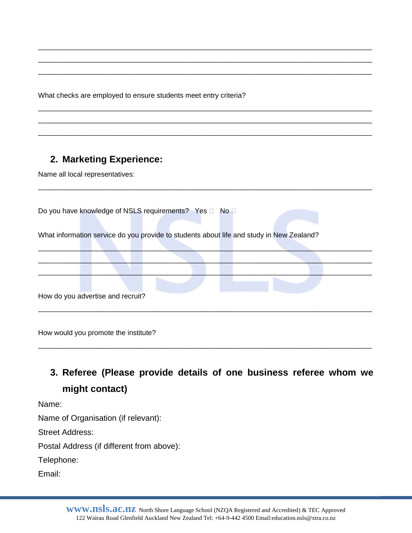What checks are employed to ensure students meet entry criteria?

## **2. Marketing Experience:**

Name all local representatives:

| Do you have knowledge of NSLS requirements? Yes □ No □                                   |  |
|------------------------------------------------------------------------------------------|--|
| What information service do you provide to students about life and study in New Zealand? |  |
|                                                                                          |  |
| How do you advertise and recruit?                                                        |  |

 $\_$  ,  $\_$  ,  $\_$  ,  $\_$  ,  $\_$  ,  $\_$  ,  $\_$  ,  $\_$  ,  $\_$  ,  $\_$  ,  $\_$  ,  $\_$  ,  $\_$  ,  $\_$  ,  $\_$  ,  $\_$  ,  $\_$  ,  $\_$  ,  $\_$  ,  $\_$  ,  $\_$  ,  $\_$  ,  $\_$  ,  $\_$  ,  $\_$  ,  $\_$  ,  $\_$  ,  $\_$  ,  $\_$  ,  $\_$  ,  $\_$  ,  $\_$  ,  $\_$  ,  $\_$  ,  $\_$  ,  $\_$  ,  $\_$  ,

 $\_$  ,  $\_$  ,  $\_$  ,  $\_$  ,  $\_$  ,  $\_$  ,  $\_$  ,  $\_$  ,  $\_$  ,  $\_$  ,  $\_$  ,  $\_$  ,  $\_$  ,  $\_$  ,  $\_$  ,  $\_$  ,  $\_$  ,  $\_$  ,  $\_$  ,  $\_$  ,  $\_$  ,  $\_$  ,  $\_$  ,  $\_$  ,  $\_$  ,  $\_$  ,  $\_$  ,  $\_$  ,  $\_$  ,  $\_$  ,  $\_$  ,  $\_$  ,  $\_$  ,  $\_$  ,  $\_$  ,  $\_$  ,  $\_$  ,  $\_$  ,  $\_$  ,  $\_$  ,  $\_$  ,  $\_$  ,  $\_$  ,  $\_$  ,  $\_$  ,  $\_$  ,  $\_$  ,  $\_$  ,  $\_$  ,  $\_$  ,  $\_$  ,  $\_$  ,  $\_$  ,  $\_$  ,  $\_$  ,  $\_$  ,  $\_$  ,  $\_$  ,  $\_$  ,  $\_$  ,  $\_$  ,  $\_$  ,  $\_$  ,  $\_$  ,  $\_$  ,  $\_$  ,  $\_$  ,  $\_$  ,  $\_$  ,  $\_$  ,  $\_$  ,  $\_$  ,  $\_$  ,  $\_$  ,  $\_$  , and the set of the set of the set of the set of the set of the set of the set of the set of the set of the set of the set of the set of the set of the set of the set of the set of the set of the set of the set of th

 $\_$  ,  $\_$  ,  $\_$  ,  $\_$  ,  $\_$  ,  $\_$  ,  $\_$  ,  $\_$  ,  $\_$  ,  $\_$  ,  $\_$  ,  $\_$  ,  $\_$  ,  $\_$  ,  $\_$  ,  $\_$  ,  $\_$  ,  $\_$  ,  $\_$  ,  $\_$  ,  $\_$  ,  $\_$  ,  $\_$  ,  $\_$  ,  $\_$  ,  $\_$  ,  $\_$  ,  $\_$  ,  $\_$  ,  $\_$  ,  $\_$  ,  $\_$  ,  $\_$  ,  $\_$  ,  $\_$  ,  $\_$  ,  $\_$  ,  $\_$  ,  $\_$  ,  $\_$  ,  $\_$  ,  $\_$  ,  $\_$  ,  $\_$  ,  $\_$  ,  $\_$  ,  $\_$  ,  $\_$  ,  $\_$  ,  $\_$  ,  $\_$  ,  $\_$  ,  $\_$  ,  $\_$  ,  $\_$  ,  $\_$  ,  $\_$  ,  $\_$  ,  $\_$  ,  $\_$  ,  $\_$  ,  $\_$  ,  $\_$  ,  $\_$  ,  $\_$  ,  $\_$  ,  $\_$  ,  $\_$  ,  $\_$  ,  $\_$  ,  $\_$  ,  $\_$  ,  $\_$  ,  $\_$  ,  $\_$  ,  $\_$  ,  $\_$  ,  $\_$  ,  $\_$  ,  $\_$  ,  $\_$  ,  $\_$  ,  $\_$  ,  $\_$  ,  $\_$  ,  $\_$  ,  $\_$  ,  $\_$  ,  $\_$  ,  $\_$  ,  $\_$  ,  $\_$  ,  $\_$  ,  $\_$  ,  $\_$  ,  $\_$  ,  $\_$  ,  $\_$  ,  $\_$  ,  $\_$  ,  $\_$  ,  $\_$  ,  $\_$  ,  $\_$  ,  $\_$  ,  $\_$  ,  $\_$  ,  $\_$  ,  $\_$  ,  $\_$  ,  $\_$  ,

How would you promote the institute?

**3. Referee (Please provide details of one business referee whom we might contact)**

\_\_\_\_\_\_\_\_\_\_\_\_\_\_\_\_\_\_\_\_\_\_\_\_\_\_\_\_\_\_\_\_\_\_\_\_\_\_\_\_\_\_\_\_\_\_\_\_\_\_\_\_\_\_\_\_\_\_\_\_\_\_\_\_\_\_\_\_\_\_\_\_\_\_\_\_\_\_\_\_\_\_\_\_\_

Name:

Name of Organisation (if relevant):

Street Address:

Postal Address (if different from above):

Telephone:

Email: